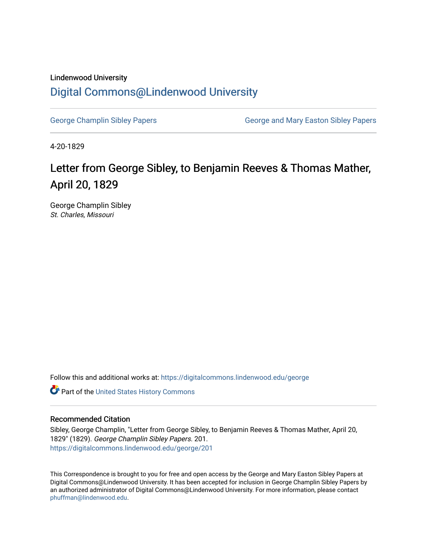## Lindenwood University [Digital Commons@Lindenwood University](https://digitalcommons.lindenwood.edu/)

[George Champlin Sibley Papers](https://digitalcommons.lindenwood.edu/george) George and Mary Easton Sibley Papers

4-20-1829

## Letter from George Sibley, to Benjamin Reeves & Thomas Mather, April 20, 1829

George Champlin Sibley St. Charles, Missouri

Follow this and additional works at: [https://digitalcommons.lindenwood.edu/george](https://digitalcommons.lindenwood.edu/george?utm_source=digitalcommons.lindenwood.edu%2Fgeorge%2F201&utm_medium=PDF&utm_campaign=PDFCoverPages)

Part of the [United States History Commons](http://network.bepress.com/hgg/discipline/495?utm_source=digitalcommons.lindenwood.edu%2Fgeorge%2F201&utm_medium=PDF&utm_campaign=PDFCoverPages) 

## Recommended Citation

Sibley, George Champlin, "Letter from George Sibley, to Benjamin Reeves & Thomas Mather, April 20, 1829" (1829). George Champlin Sibley Papers. 201. [https://digitalcommons.lindenwood.edu/george/201](https://digitalcommons.lindenwood.edu/george/201?utm_source=digitalcommons.lindenwood.edu%2Fgeorge%2F201&utm_medium=PDF&utm_campaign=PDFCoverPages)

This Correspondence is brought to you for free and open access by the George and Mary Easton Sibley Papers at Digital Commons@Lindenwood University. It has been accepted for inclusion in George Champlin Sibley Papers by an authorized administrator of Digital Commons@Lindenwood University. For more information, please contact [phuffman@lindenwood.edu](mailto:phuffman@lindenwood.edu).